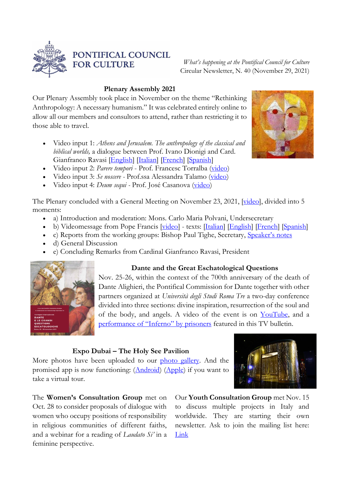

# PONTIFICAL COUNCIL **FOR CULTURE**

*What's happening at the Pontifical Council for Culture* Circular Newsletter, N. 40 (November 29, 2021)

### **Plenary Assembly 2021**

Our Plenary Assembly took place in November on the theme "Rethinking Anthropology: A necessary humanism." It was celebrated entirely online to allow all our members and consultors to attend, rather than restricting it to those able to travel.

- Video input 1: *Athens and Jerusalem. The anthropology of the classical and biblical worlds,* a dialogue between Prof. Ivano Dionigi and Card. Gianfranco Ravasi [\[English\]](https://youtu.be/EZ_L5FZI0DA) [\[Italian\]](https://youtu.be/ys3KqYWHYm4) [\[French\]](https://youtu.be/HtcFu_Q6T9w) [\[Spanish\]](https://youtu.be/kIzN8uykz3A)
- Video input 2: *Parere tempori* Prof. Francesc Torralba [\(video\)](http://www.cultura.va/content/cultura/en/plenarie/2021-umanesimo/videos.html#innertop-1_text)
- Video input 3: *Se noscere -* Prof.ssa Alessandra Talamo [\(video\)](http://www.cultura.va/content/cultura/en/plenarie/2021-umanesimo/videos.html#innertop-1_text)
- Video input 4: *Deum sequi -* Prof. José Casanova [\(video\)](http://www.cultura.va/content/cultura/en/plenarie/2021-umanesimo/videos.html#innertop-1_text)

The Plenary concluded with a General Meeting on November 23, 2021, [\[video\]](https://youtu.be/blSaZMyT9Xw), divided into 5 moments:

- a) Introduction and moderation: Mons. Carlo Maria Polvani, Undersecretary
- b) Videomessage from Pope Francis [\[video\]](https://youtu.be/BPgh0KBpXc8) texts: [\[Italian\]](https://www.vatican.va/content/francesco/it/messages/pont-messages/2021/documents/20211123-videomessagggio-plenaria-pcc.html) [\[English\]](http://www.cultura.va/content/dam/cultura/docs/pdf/events/plenary2021/videomessage_EN.pdf) [\[French\]](http://www.cultura.va/content/dam/cultura/docs/pdf/events/plenary2021/videomessage_FR.pdf) [\[Spanish\]](http://www.cultura.va/content/dam/cultura/docs/pdf/events/plenary2021/videomessage_ES.pdf)
- c) Reports from the working groups: Bishop Paul Tighe, Secretary, [Speaker'](http://www.cultura.va/content/dam/cultura/docs/pdf/events/plenary2021/SummaryWorkingGroups.pdf)s notes
- d) General Discussion
- e) Concluding Remarks from Cardinal Gianfranco Ravasi, President



## **Dante and the Great Eschatological Questions**

Nov. 25-26, within the context of the 700th anniversary of the death of Dante Alighieri, the Pontifical Commission for Dante together with other partners organized at *Università degli Studi Roma Tre* a two-day conference divided into three sections: divine inspiration, resurrection of the soul and of the body, and angels. A video of the event is on [YouTube,](https://youtu.be/yfwNJn_3s-8) and a performance [of "Inferno"](http://uniromatre.telpress.it/news/2021/11/26/202111260266421081401.MP4) by prisoners featured in this TV bulletin.

## **Expo Dubai – The Holy See Pavilion**

More photos have been uploaded to our [photo gallery.](https://flic.kr/s/aHsmWNEyZp) And the promised app is now functioning: [\(Android\)](https://play.google.com/store/apps/details?id=com.holyseepavilion) [\(Apple\)](https://apps.apple.com/us/app/holy-see-pavilion/id1588638691) if you want to take a virtual tour.

The **Women's Consultation Group** met on Oct. 28 to consider proposals of dialogue with women who occupy positions of responsibility in religious communities of different faiths, and a webinar for a reading of *Laudato Si'* in a feminine perspective.



Our **Youth Consultation Group** met Nov. 15 to discuss multiple projects in Italy and worldwide. They are starting their own newsletter. Ask to join the mailing list here: [Link](mailto:consultagiovanilepcc@gmail.com)